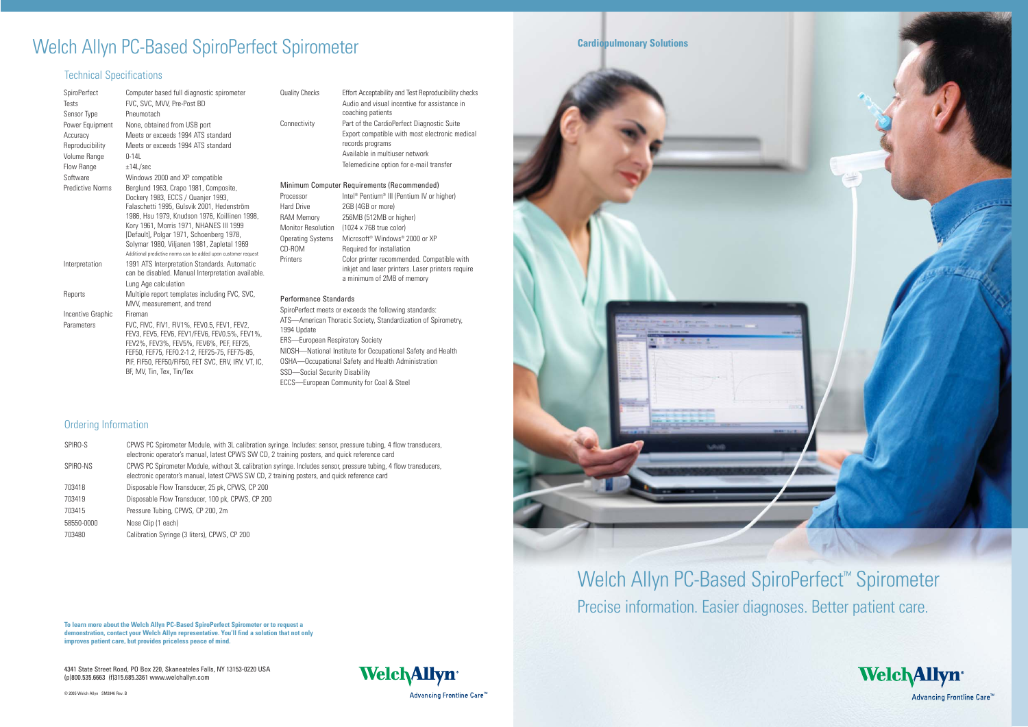4341 State Street Road, PO Box 220, Skaneateles Falls, NY 13153-0220 USA (p)800.535.6663 (f)315.685.3361 www.welchallyn.com

© 2005 Welch Allyn SM2846 Rev. B





# Welch Allyn PC-Based SpiroPerfect<sup>™</sup> Spirometer Precise information. Easier diagnoses. Better patient care.





Advancing Frontline Care<sup>™</sup>

**To learn more about the Welch Allyn PC-Based SpiroPerfect Spirometer or to request a demonstration, contact your Welch Allyn representative. You'll find a solution that not only improves patient care, but provides priceless peace of mind.**

# Welch Allyn PC-Based SpiroPerfect Spirometer **Example 20 Cardiopulmonary Solutions**

### Technical Specifications

| SpiroPerfect<br>Tests<br>Sensor Type                           | Computer based full diagnostic spirometer<br>FVC, SVC, MVV, Pre-Post BD<br>Pneumotach                                                                                                                                                                                                                                                                                                                                           | <b>Quality Checks</b>                                                                                                                                                                                                                                                                                                                                             | Effort Acceptability and Test Reproducibility checks<br>Audio and visual incentive for assistance in<br>coaching patients                                                                                                                                               |
|----------------------------------------------------------------|---------------------------------------------------------------------------------------------------------------------------------------------------------------------------------------------------------------------------------------------------------------------------------------------------------------------------------------------------------------------------------------------------------------------------------|-------------------------------------------------------------------------------------------------------------------------------------------------------------------------------------------------------------------------------------------------------------------------------------------------------------------------------------------------------------------|-------------------------------------------------------------------------------------------------------------------------------------------------------------------------------------------------------------------------------------------------------------------------|
| Power Equipment<br>Accuracy<br>Reproducibility<br>Volume Range | None, obtained from USB port<br>Meets or exceeds 1994 ATS standard<br>Meets or exceeds 1994 ATS standard<br>$0 - 14L$                                                                                                                                                                                                                                                                                                           | Connectivity                                                                                                                                                                                                                                                                                                                                                      | Part of the CardioPerfect Diagnostic Suite<br>Export compatible with most electronic medical<br>records programs<br>Available in multiuser network<br>Telemedicine option for e-mail transfer                                                                           |
| Flow Range<br>Software<br><b>Predictive Norms</b>              | ±14L/sec<br>Windows 2000 and XP compatible<br>Berglund 1963, Crapo 1981, Composite,<br>Dockery 1983, ECCS / Quanjer 1993,<br>Falaschetti 1995, Gulsvik 2001, Hedenström<br>1986, Hsu 1979, Knudson 1976, Koillinen 1998,<br>Kory 1961, Morris 1971, NHANES III 1999<br>[Default], Polgar 1971, Schoenberg 1978,<br>Solymar 1980, Viljanen 1981, Zapletal 1969<br>Additional predictive norms can be added upon customer request | Processor<br><b>Hard Drive</b><br><b>RAM Memory</b><br><b>Monitor Resolution</b><br><b>Operating Systems</b><br>CD-ROM                                                                                                                                                                                                                                            | Minimum Computer Requirements (Recommended)<br>Intel <sup>®</sup> Pentium <sup>®</sup> III (Pentium IV or higher)<br>2GB (4GB or more)<br>256MB (512MB or higher)<br>(1024 x 768 true color)<br>Microsoft <sup>®</sup> Windows® 2000 or XP<br>Required for installation |
| Interpretation                                                 | 1991 ATS Interpretation Standards. Automatic<br>can be disabled. Manual Interpretation available.<br>Lung Age calculation                                                                                                                                                                                                                                                                                                       | Printers                                                                                                                                                                                                                                                                                                                                                          | Color printer recommended. Compatible with<br>inkjet and laser printers. Laser printers require<br>a minimum of 2MB of memory                                                                                                                                           |
| Reports<br>Incentive Graphic<br>Parameters                     | Multiple report templates including FVC, SVC,<br>MVV, measurement, and trend<br>Fireman<br>FVC, FIVC, FIV1, FIV1%, FEV0.5, FEV1, FEV2,<br>FEV3, FEV5, FEV6, FEV1/FEV6, FEV0.5%, FEV1%,<br>FEV2%, FEV3%, FEV5%, FEV6%, PEF, FEF25,<br>FEF50, FEF75, FEF0.2-1.2, FEF25-75, FEF75-85,<br>PIF, FIF50, FEF50/FIF50, FET SVC, ERV, IRV, VT, IC,<br>BF, MV, Tin, Tex, Tin/Tex                                                          | Performance Standards<br>SpiroPerfect meets or exceeds the following standards:<br>ATS—American Thoracic Society, Standardization of Spirometry,<br>1994 Update<br><b>ERS—European Respiratory Society</b><br>NIOSH-National Institute for Occupational Safety and Health<br>OSHA-Occupational Safety and Health Administration<br>SSD-Social Security Disability |                                                                                                                                                                                                                                                                         |
|                                                                |                                                                                                                                                                                                                                                                                                                                                                                                                                 | ECCS-European Community for Coal & Steel                                                                                                                                                                                                                                                                                                                          |                                                                                                                                                                                                                                                                         |

#### Ordering Information

| SPIRO-S    | CPWS PC Spirometer Module, with 3L calibration syringe. Includes: sensor, pressure tubing, 4 flow transducers,<br>electronic operator's manual, latest CPWS SW CD, 2 training posters, and quick reference card   |  |
|------------|-------------------------------------------------------------------------------------------------------------------------------------------------------------------------------------------------------------------|--|
| SPIRO-NS   | CPWS PC Spirometer Module, without 3L calibration syringe. Includes sensor, pressure tubing, 4 flow transducers,<br>electronic operator's manual, latest CPWS SW CD, 2 training posters, and quick reference card |  |
| 703418     | Disposable Flow Transducer, 25 pk, CPWS, CP 200                                                                                                                                                                   |  |
| 703419     | Disposable Flow Transducer, 100 pk, CPWS, CP 200                                                                                                                                                                  |  |
| 703415     | Pressure Tubing, CPWS, CP 200, 2m                                                                                                                                                                                 |  |
| 58550-0000 | Nose Clip (1 each)                                                                                                                                                                                                |  |
| 703480     | Calibration Syringe (3 liters), CPWS, CP 200                                                                                                                                                                      |  |